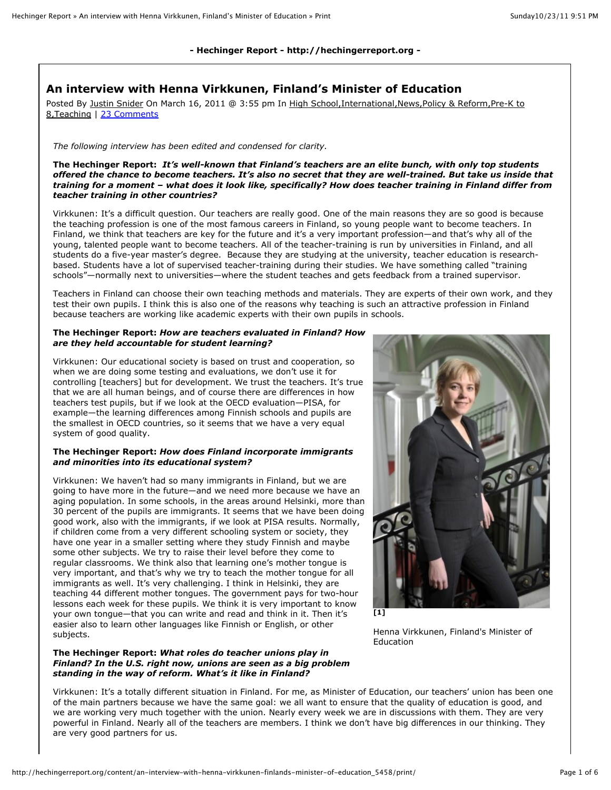## **- Hechinger Report - http://hechingerreport.org -**

# **An interview with Henna Virkkunen, Finland's Minister of Education**

Posted By Justin Snider On March 16, 2011 @ 3:55 pm In High School, International, News, Policy & Reform, Pre-K to 8,Teaching | 23 Comments

#### *The following interview has been edited and condensed for clarity.*

**The Hechinger Report:** *It's well-known that Finland's teachers are an elite bunch, with only top students offered the chance to become teachers. It's also no secret that they are well-trained. But take us inside that training for a moment – what does it look like, specifically? How does teacher training in Finland differ from teacher training in other countries?*

Virkkunen: It's a difficult question. Our teachers are really good. One of the main reasons they are so good is because the teaching profession is one of the most famous careers in Finland, so young people want to become teachers. In Finland, we think that teachers are key for the future and it's a very important profession—and that's why all of the young, talented people want to become teachers. All of the teacher-training is run by universities in Finland, and all students do a five-year master's degree. Because they are studying at the university, teacher education is researchbased. Students have a lot of supervised teacher-training during their studies. We have something called "training schools"—normally next to universities—where the student teaches and gets feedback from a trained supervisor.

Teachers in Finland can choose their own teaching methods and materials. They are experts of their own work, and they test their own pupils. I think this is also one of the reasons why teaching is such an attractive profession in Finland because teachers are working like academic experts with their own pupils in schools.

#### **The Hechinger Report:** *How are teachers evaluated in Finland? How are they held accountable for student learning?*

Virkkunen: Our educational society is based on trust and cooperation, so when we are doing some testing and evaluations, we don't use it for controlling [teachers] but for development. We trust the teachers. It's true that we are all human beings, and of course there are differences in how teachers test pupils, but if we look at the OECD evaluation—PISA, for example—the learning differences among Finnish schools and pupils are the smallest in OECD countries, so it seems that we have a very equal system of good quality.

#### **The Hechinger Report:** *How does Finland incorporate immigrants and minorities into its educational system?*

Virkkunen: We haven't had so many immigrants in Finland, but we are going to have more in the future—and we need more because we have an aging population. In some schools, in the areas around Helsinki, more than 30 percent of the pupils are immigrants. It seems that we have been doing good work, also with the immigrants, if we look at PISA results. Normally, if children come from a very different schooling system or society, they have one year in a smaller setting where they study Finnish and maybe some other subjects. We try to raise their level before they come to regular classrooms. We think also that learning one's mother tongue is very important, and that's why we try to teach the mother tongue for all immigrants as well. It's very challenging. I think in Helsinki, they are teaching 44 different mother tongues. The government pays for two-hour lessons each week for these pupils. We think it is very important to know your own tongue—that you can write and read and think in it. Then it's easier also to learn other languages like Finnish or English, or other subjects.

#### **The Hechinger Report:** *What roles do teacher unions play in Finland? In the U.S. right now, unions are seen as a big problem standing in the way of reform. What's it like in Finland?*



Henna Virkkunen, Finland's Minister of Education

Virkkunen: It's a totally different situation in Finland. For me, as Minister of Education, our teachers' union has been one of the main partners because we have the same goal: we all want to ensure that the quality of education is good, and we are working very much together with the union. Nearly every week we are in discussions with them. They are very powerful in Finland. Nearly all of the teachers are members. I think we don't have big differences in our thinking. They are very good partners for us.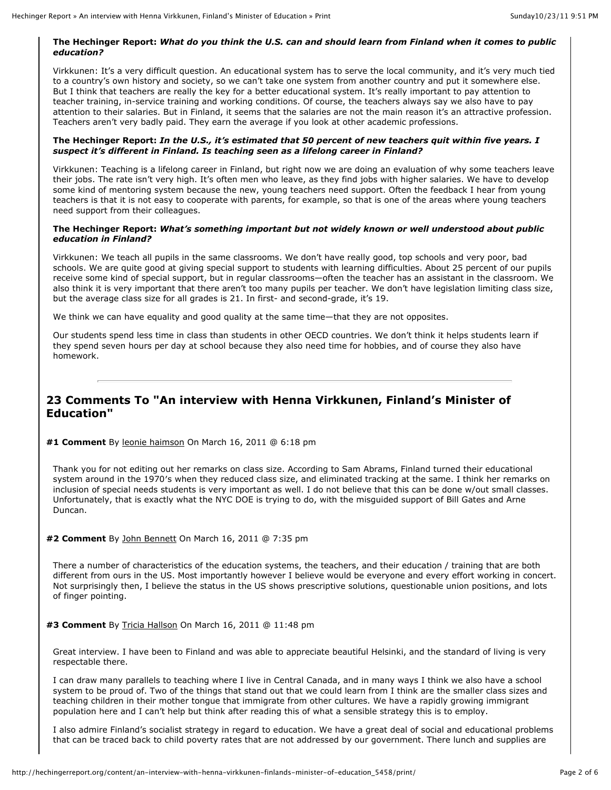## **The Hechinger Report:** *What do you think the U.S. can and should learn from Finland when it comes to public education?*

Virkkunen: It's a very difficult question. An educational system has to serve the local community, and it's very much tied to a country's own history and society, so we can't take one system from another country and put it somewhere else. But I think that teachers are really the key for a better educational system. It's really important to pay attention to teacher training, in-service training and working conditions. Of course, the teachers always say we also have to pay attention to their salaries. But in Finland, it seems that the salaries are not the main reason it's an attractive profession. Teachers aren't very badly paid. They earn the average if you look at other academic professions.

## **The Hechinger Report:** *In the U.S., it's estimated that 50 percent of new teachers quit within five years. I suspect it's different in Finland. Is teaching seen as a lifelong career in Finland?*

Virkkunen: Teaching is a lifelong career in Finland, but right now we are doing an evaluation of why some teachers leave their jobs. The rate isn't very high. It's often men who leave, as they find jobs with higher salaries. We have to develop some kind of mentoring system because the new, young teachers need support. Often the feedback I hear from young teachers is that it is not easy to cooperate with parents, for example, so that is one of the areas where young teachers need support from their colleagues.

## **The Hechinger Report:** *What's something important but not widely known or well understood about public education in Finland?*

Virkkunen: We teach all pupils in the same classrooms. We don't have really good, top schools and very poor, bad schools. We are quite good at giving special support to students with learning difficulties. About 25 percent of our pupils receive some kind of special support, but in regular classrooms—often the teacher has an assistant in the classroom. We also think it is very important that there aren't too many pupils per teacher. We don't have legislation limiting class size, but the average class size for all grades is 21. In first- and second-grade, it's 19.

We think we can have equality and good quality at the same time—that they are not opposites.

Our students spend less time in class than students in other OECD countries. We don't think it helps students learn if they spend seven hours per day at school because they also need time for hobbies, and of course they also have homework.

# **23 Comments To "An interview with Henna Virkkunen, Finland's Minister of Education"**

**#1 Comment** By leonie haimson On March 16, 2011 @ 6:18 pm

Thank you for not editing out her remarks on class size. According to Sam Abrams, Finland turned their educational system around in the 1970's when they reduced class size, and eliminated tracking at the same. I think her remarks on inclusion of special needs students is very important as well. I do not believe that this can be done w/out small classes. Unfortunately, that is exactly what the NYC DOE is trying to do, with the misguided support of Bill Gates and Arne Duncan.

## **#2 Comment** By John Bennett On March 16, 2011 @ 7:35 pm

There a number of characteristics of the education systems, the teachers, and their education / training that are both different from ours in the US. Most importantly however I believe would be everyone and every effort working in concert. Not surprisingly then, I believe the status in the US shows prescriptive solutions, questionable union positions, and lots of finger pointing.

## **#3 Comment** By Tricia Hallson On March 16, 2011 @ 11:48 pm

Great interview. I have been to Finland and was able to appreciate beautiful Helsinki, and the standard of living is very respectable there.

I can draw many parallels to teaching where I live in Central Canada, and in many ways I think we also have a school system to be proud of. Two of the things that stand out that we could learn from I think are the smaller class sizes and teaching children in their mother tongue that immigrate from other cultures. We have a rapidly growing immigrant population here and I can't help but think after reading this of what a sensible strategy this is to employ.

I also admire Finland's socialist strategy in regard to education. We have a great deal of social and educational problems that can be traced back to child poverty rates that are not addressed by our government. There lunch and supplies are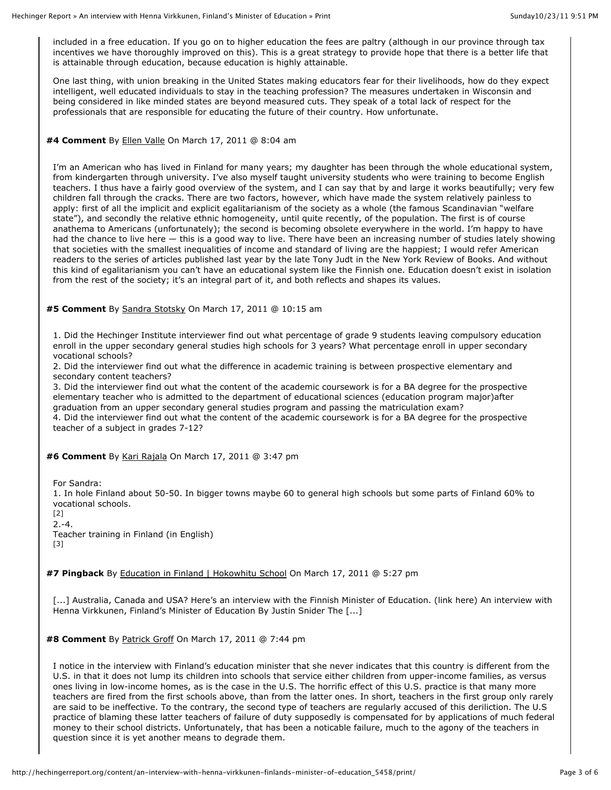included in a free education. If you go on to higher education the fees are paltry (although in our province through tax incentives we have thoroughly improved on this). This is a great strategy to provide hope that there is a better life that is attainable through education, because education is highly attainable.

One last thing, with union breaking in the United States making educators fear for their livelihoods, how do they expect intelligent, well educated individuals to stay in the teaching profession? The measures undertaken in Wisconsin and being considered in like minded states are beyond measured cuts. They speak of a total lack of respect for the professionals that are responsible for educating the future of their country. How unfortunate.

## **#4 Comment** By Ellen Valle On March 17, 2011 @ 8:04 am

I'm an American who has lived in Finland for many years; my daughter has been through the whole educational system, from kindergarten through university. I've also myself taught university students who were training to become English teachers. I thus have a fairly good overview of the system, and I can say that by and large it works beautifully; very few children fall through the cracks. There are two factors, however, which have made the system relatively painless to apply: first of all the implicit and explicit egalitarianism of the society as a whole (the famous Scandinavian "welfare state"), and secondly the relative ethnic homogeneity, until quite recently, of the population. The first is of course anathema to Americans (unfortunately); the second is becoming obsolete everywhere in the world. I'm happy to have had the chance to live here — this is a good way to live. There have been an increasing number of studies lately showing that societies with the smallest inequalities of income and standard of living are the happiest; I would refer American readers to the series of articles published last year by the late Tony Judt in the New York Review of Books. And without this kind of egalitarianism you can't have an educational system like the Finnish one. Education doesn't exist in isolation from the rest of the society; it's an integral part of it, and both reflects and shapes its values.

**#5 Comment** By Sandra Stotsky On March 17, 2011 @ 10:15 am

1. Did the Hechinger Institute interviewer find out what percentage of grade 9 students leaving compulsory education enroll in the upper secondary general studies high schools for 3 years? What percentage enroll in upper secondary vocational schools?

2. Did the interviewer find out what the difference in academic training is between prospective elementary and secondary content teachers?

3. Did the interviewer find out what the content of the academic coursework is for a BA degree for the prospective elementary teacher who is admitted to the department of educational sciences (education program major)after graduation from an upper secondary general studies program and passing the matriculation exam?

4. Did the interviewer find out what the content of the academic coursework is for a BA degree for the prospective teacher of a subject in grades 7-12?

**#6 Comment** By Kari Rajala On March 17, 2011 @ 3:47 pm

For Sandra:

1. In hole Finland about 50-50. In bigger towns maybe 60 to general high schools but some parts of Finland 60% to vocational schools.

[2]  $2. -4.$ 

Teacher training in Finland (in English) [3]

**#7 Pingback** By Education in Finland | Hokowhitu School On March 17, 2011 @ 5:27 pm

[...] Australia, Canada and USA? Here's an interview with the Finnish Minister of Education. (link here) An interview with Henna Virkkunen, Finland's Minister of Education By Justin Snider The [...]

**#8 Comment** By Patrick Groff On March 17, 2011 @ 7:44 pm

I notice in the interview with Finland's education minister that she never indicates that this country is different from the U.S. in that it does not lump its children into schools that service either children from upper-income families, as versus ones living in low-income homes, as is the case in the U.S. The horrific effect of this U.S. practice is that many more teachers are fired from the first schools above, than from the latter ones. In short, teachers in the first group only rarely are said to be ineffective. To the contrary, the second type of teachers are regularly accused of this deriliction. The U.S practice of blaming these latter teachers of failure of duty supposedly is compensated for by applications of much federal money to their school districts. Unfortunately, that has been a noticable failure, much to the agony of the teachers in question since it is yet another means to degrade them.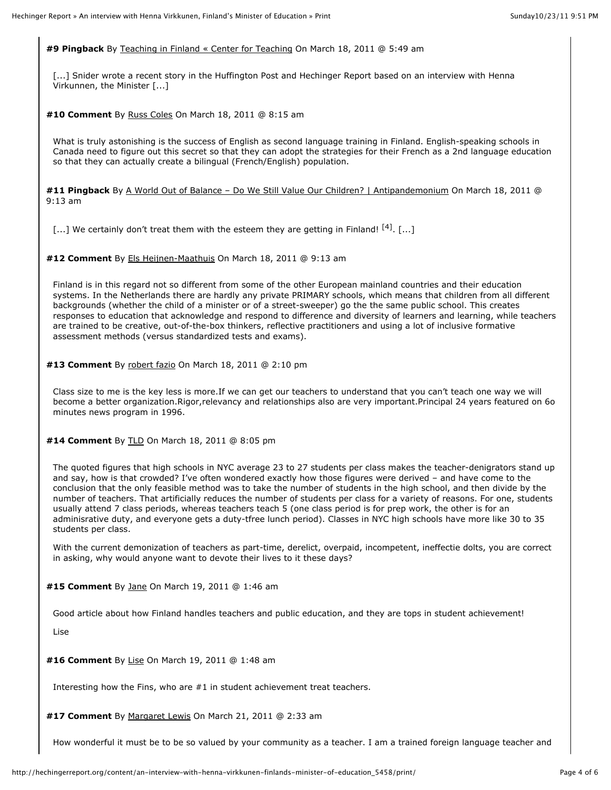**#9 Pingback** By Teaching in Finland « Center for Teaching On March 18, 2011 @ 5:49 am

[...] Snider wrote a recent story in the Huffington Post and Hechinger Report based on an interview with Henna Virkunnen, the Minister [...]

**#10 Comment** By Russ Coles On March 18, 2011 @ 8:15 am

What is truly astonishing is the success of English as second language training in Finland. English-speaking schools in Canada need to figure out this secret so that they can adopt the strategies for their French as a 2nd language education so that they can actually create a bilingual (French/English) population.

**#11 Pingback** By A World Out of Balance – Do We Still Value Our Children? | Antipandemonium On March 18, 2011 @ 9:13 am

[...] We certainly don't treat them with the esteem they are getting in Finland!  $[4]$ . [...]

**#12 Comment** By Els Heijnen-Maathuis On March 18, 2011 @ 9:13 am

Finland is in this regard not so different from some of the other European mainland countries and their education systems. In the Netherlands there are hardly any private PRIMARY schools, which means that children from all different backgrounds (whether the child of a minister or of a street-sweeper) go the the same public school. This creates responses to education that acknowledge and respond to difference and diversity of learners and learning, while teachers are trained to be creative, out-of-the-box thinkers, reflective practitioners and using a lot of inclusive formative assessment methods (versus standardized tests and exams).

**#13 Comment** By robert fazio On March 18, 2011 @ 2:10 pm

Class size to me is the key less is more.If we can get our teachers to understand that you can't teach one way we will become a better organization.Rigor,relevancy and relationships also are very important.Principal 24 years featured on 6o minutes news program in 1996.

**#14 Comment** By TLD On March 18, 2011 @ 8:05 pm

The quoted figures that high schools in NYC average 23 to 27 students per class makes the teacher-denigrators stand up and say, how is that crowded? I've often wondered exactly how those figures were derived – and have come to the conclusion that the only feasible method was to take the number of students in the high school, and then divide by the number of teachers. That artificially reduces the number of students per class for a variety of reasons. For one, students usually attend 7 class periods, whereas teachers teach 5 (one class period is for prep work, the other is for an adminisrative duty, and everyone gets a duty-tfree lunch period). Classes in NYC high schools have more like 30 to 35 students per class.

With the current demonization of teachers as part-time, derelict, overpaid, incompetent, ineffectie dolts, you are correct in asking, why would anyone want to devote their lives to it these days?

**#15 Comment** By Jane On March 19, 2011 @ 1:46 am

Good article about how Finland handles teachers and public education, and they are tops in student achievement!

Lise

**#16 Comment** By Lise On March 19, 2011 @ 1:48 am

Interesting how the Fins, who are #1 in student achievement treat teachers.

**#17 Comment** By Margaret Lewis On March 21, 2011 @ 2:33 am

How wonderful it must be to be so valued by your community as a teacher. I am a trained foreign language teacher and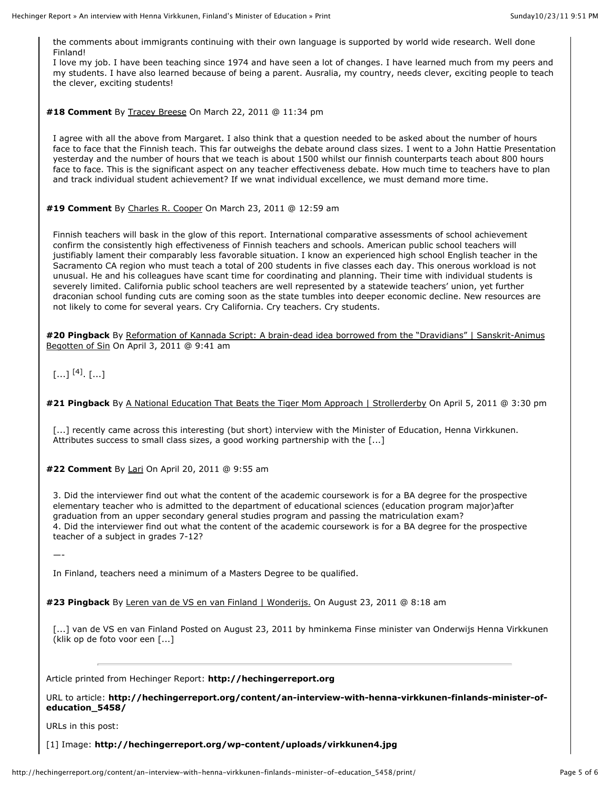the comments about immigrants continuing with their own language is supported by world wide research. Well done Finland!

I love my job. I have been teaching since 1974 and have seen a lot of changes. I have learned much from my peers and my students. I have also learned because of being a parent. Ausralia, my country, needs clever, exciting people to teach the clever, exciting students!

**#18 Comment** By Tracey Breese On March 22, 2011 @ 11:34 pm

I agree with all the above from Margaret. I also think that a question needed to be asked about the number of hours face to face that the Finnish teach. This far outweighs the debate around class sizes. I went to a John Hattie Presentation yesterday and the number of hours that we teach is about 1500 whilst our finnish counterparts teach about 800 hours face to face. This is the significant aspect on any teacher effectiveness debate. How much time to teachers have to plan and track individual student achievement? If we wnat individual excellence, we must demand more time.

**#19 Comment** By Charles R. Cooper On March 23, 2011 @ 12:59 am

Finnish teachers will bask in the glow of this report. International comparative assessments of school achievement confirm the consistently high effectiveness of Finnish teachers and schools. American public school teachers will justifiably lament their comparably less favorable situation. I know an experienced high school English teacher in the Sacramento CA region who must teach a total of 200 students in five classes each day. This onerous workload is not unusual. He and his colleagues have scant time for coordinating and planning. Their time with individual students is severely limited. California public school teachers are well represented by a statewide teachers' union, yet further draconian school funding cuts are coming soon as the state tumbles into deeper economic decline. New resources are not likely to come for several years. Cry California. Cry teachers. Cry students.

**#20 Pingback** By Reformation of Kannada Script: A brain-dead idea borrowed from the "Dravidians" | Sanskrit-Animus Begotten of Sin On April 3, 2011 @ 9:41 am

# $[...]^{[4]}$ .  $[...]$

**#21 Pingback** By A National Education That Beats the Tiger Mom Approach | Strollerderby On April 5, 2011 @ 3:30 pm

[...] recently came across this interesting (but short) interview with the Minister of Education, Henna Virkkunen. Attributes success to small class sizes, a good working partnership with the [...]

**#22 Comment** By Lari On April 20, 2011 @ 9:55 am

3. Did the interviewer find out what the content of the academic coursework is for a BA degree for the prospective elementary teacher who is admitted to the department of educational sciences (education program major)after graduation from an upper secondary general studies program and passing the matriculation exam? 4. Did the interviewer find out what the content of the academic coursework is for a BA degree for the prospective teacher of a subject in grades 7-12?

—-

In Finland, teachers need a minimum of a Masters Degree to be qualified.

**#23 Pingback** By Leren van de VS en van Finland | Wonderijs. On August 23, 2011 @ 8:18 am

[...] van de VS en van Finland Posted on August 23, 2011 by hminkema Finse minister van Onderwijs Henna Virkkunen (klik op de foto voor een [...]

Article printed from Hechinger Report: **http://hechingerreport.org**

URL to article: **http://hechingerreport.org/content/an-interview-with-henna-virkkunen-finlands-minister-ofeducation\_5458/**

URLs in this post:

[1] Image: **http://hechingerreport.org/wp-content/uploads/virkkunen4.jpg**